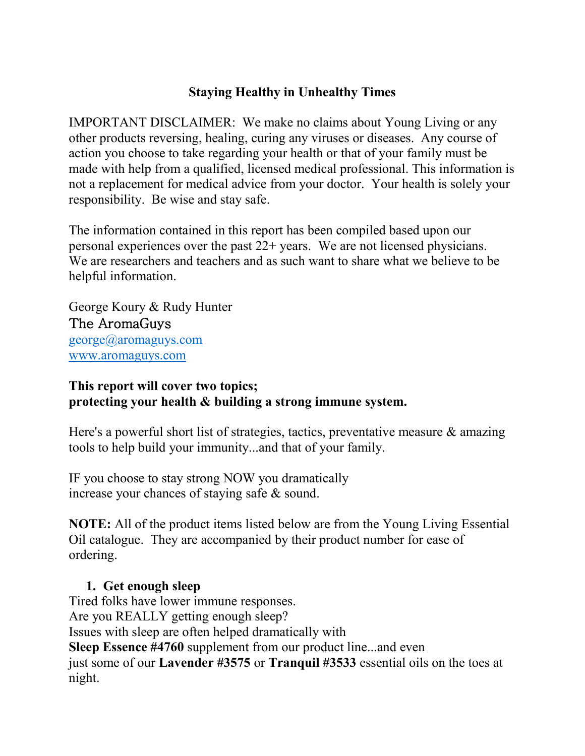### **Staying Healthy in Unhealthy Times**

IMPORTANT DISCLAIMER: We make no claims about Young Living or any other products reversing, healing, curing any viruses or diseases. Any course of action you choose to take regarding your health or that of your family must be made with help from a qualified, licensed medical professional. This information is not a replacement for medical advice from your doctor. Your health is solely your responsibility. Be wise and stay safe.

The information contained in this report has been compiled based upon our personal experiences over the past 22+ years. We are not licensed physicians. We are researchers and teachers and as such want to share what we believe to be helpful information.

George Koury & Rudy Hunter The AromaGuys george@aromaguys.com www.aromaguys.com

### **This report will cover two topics; protecting your health & building a strong immune system.**

Here's a powerful short list of strategies, tactics, preventative measure & amazing tools to help build your immunity...and that of your family.

IF you choose to stay strong NOW you dramatically increase your chances of staying safe & sound.

**NOTE:** All of the product items listed below are from the Young Living Essential Oil catalogue. They are accompanied by their product number for ease of ordering.

# **1. Get enough sleep**

Tired folks have lower immune responses.

Are you REALLY getting enough sleep?

Issues with sleep are often helped dramatically with

**Sleep Essence #4760** supplement from our product line...and even

just some of our **Lavender #3575** or **Tranquil #3533** essential oils on the toes at night.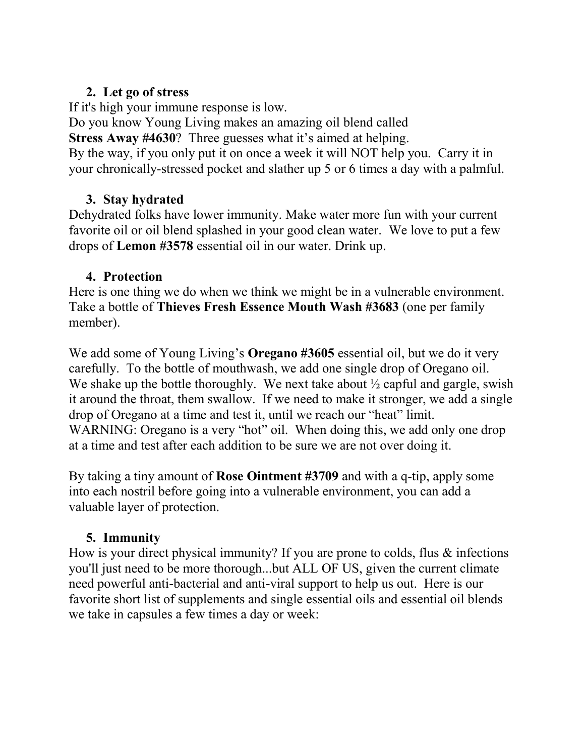### **2. Let go of stress**

If it's high your immune response is low.

Do you know Young Living makes an amazing oil blend called **Stress Away #4630**? Three guesses what it's aimed at helping. By the way, if you only put it on once a week it will NOT help you. Carry it in your chronically-stressed pocket and slather up 5 or 6 times a day with a palmful.

# **3. Stay hydrated**

Dehydrated folks have lower immunity. Make water more fun with your current favorite oil or oil blend splashed in your good clean water. We love to put a few drops of **Lemon #3578** essential oil in our water. Drink up.

# **4. Protection**

Here is one thing we do when we think we might be in a vulnerable environment. Take a bottle of **Thieves Fresh Essence Mouth Wash #3683** (one per family member).

We add some of Young Living's **Oregano #3605** essential oil, but we do it very carefully. To the bottle of mouthwash, we add one single drop of Oregano oil. We shake up the bottle thoroughly. We next take about  $\frac{1}{2}$  capful and gargle, swish it around the throat, them swallow. If we need to make it stronger, we add a single drop of Oregano at a time and test it, until we reach our "heat" limit. WARNING: Oregano is a very "hot" oil. When doing this, we add only one drop at a time and test after each addition to be sure we are not over doing it.

By taking a tiny amount of **Rose Ointment #3709** and with a q-tip, apply some into each nostril before going into a vulnerable environment, you can add a valuable layer of protection.

# **5. Immunity**

How is your direct physical immunity? If you are prone to colds, flus & infections you'll just need to be more thorough...but ALL OF US, given the current climate need powerful anti-bacterial and anti-viral support to help us out. Here is our favorite short list of supplements and single essential oils and essential oil blends we take in capsules a few times a day or week: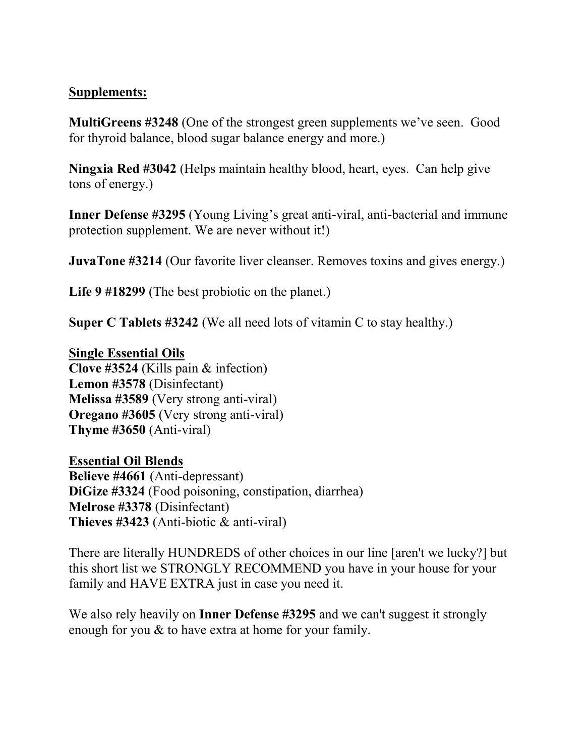#### **Supplements:**

**MultiGreens #3248** (One of the strongest green supplements we've seen. Good for thyroid balance, blood sugar balance energy and more.)

**Ningxia Red #3042** (Helps maintain healthy blood, heart, eyes. Can help give tons of energy.)

**Inner Defense #3295** (Young Living's great anti-viral, anti-bacterial and immune protection supplement. We are never without it!)

**JuvaTone** #3214 (Our favorite liver cleanser. Removes toxins and gives energy.)

**Life 9 #18299** (The best probiotic on the planet.)

**Super C Tablets #3242** (We all need lots of vitamin C to stay healthy.)

#### **Single Essential Oils**

**Clove #3524** (Kills pain & infection) **Lemon #3578** (Disinfectant) **Melissa #3589** (Very strong anti-viral) **Oregano #3605** (Very strong anti-viral) **Thyme #3650** (Anti-viral)

#### **Essential Oil Blends**

**Believe #4661** (Anti-depressant) **DiGize #3324** (Food poisoning, constipation, diarrhea) **Melrose #3378** (Disinfectant) **Thieves #3423** (Anti-biotic & anti-viral)

There are literally HUNDREDS of other choices in our line [aren't we lucky?] but this short list we STRONGLY RECOMMEND you have in your house for your family and HAVE EXTRA just in case you need it.

We also rely heavily on **Inner Defense #3295** and we can't suggest it strongly enough for you & to have extra at home for your family.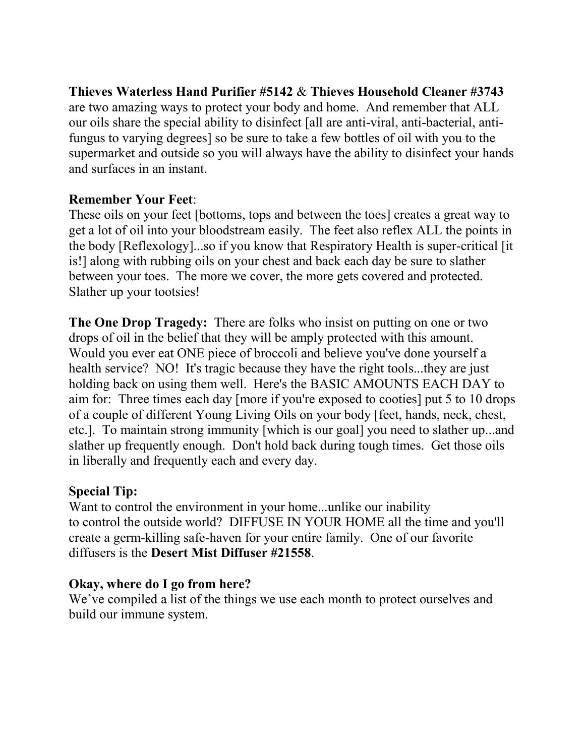**Thieves Waterless Hand Purifier #5142** & **Thieves Household Cleaner #3743** are two amazing ways to protect your body and home. And remember that ALL our oils share the special ability to disinfect [all are anti-viral, anti-bacterial, antifungus to varying degrees] so be sure to take a few bottles of oil with you to the supermarket and outside so you will always have the ability to disinfect your hands and surfaces in an instant.

#### **Remember Your Feet**:

These oils on your feet [bottoms, tops and between the toes] creates a great way to get a lot of oil into your bloodstream easily. The feet also reflex ALL the points in the body [Reflexology]...so if you know that Respiratory Health is super-critical [it is!] along with rubbing oils on your chest and back each day be sure to slather between your toes. The more we cover, the more gets covered and protected. Slather up your tootsies!

**The One Drop Tragedy:** There are folks who insist on putting on one or two drops of oil in the belief that they will be amply protected with this amount. Would you ever eat ONE piece of broccoli and believe you've done yourself a health service? NO! It's tragic because they have the right tools...they are just holding back on using them well. Here's the BASIC AMOUNTS EACH DAY to aim for: Three times each day [more if you're exposed to cooties] put 5 to 10 drops of a couple of different Young Living Oils on your body [feet, hands, neck, chest, etc.]. To maintain strong immunity [which is our goal] you need to slather up...and slather up frequently enough. Don't hold back during tough times. Get those oils in liberally and frequently each and every day.

### **Special Tip:**

Want to control the environment in your home...unlike our inability to control the outside world? DIFFUSE IN YOUR HOME all the time and you'll create a germ-killing safe-haven for your entire family. One of our favorite diffusers is the **Desert Mist Diffuser #21558**.

# **Okay, where do I go from here?**

We've compiled a list of the things we use each month to protect ourselves and build our immune system.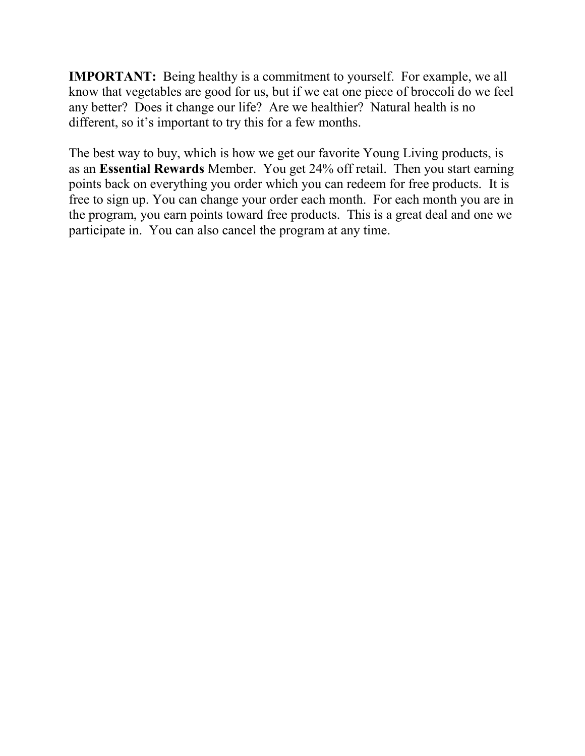**IMPORTANT:** Being healthy is a commitment to yourself. For example, we all know that vegetables are good for us, but if we eat one piece of broccoli do we feel any better? Does it change our life? Are we healthier? Natural health is no different, so it's important to try this for a few months.

The best way to buy, which is how we get our favorite Young Living products, is as an **Essential Rewards** Member. You get 24% off retail. Then you start earning points back on everything you order which you can redeem for free products. It is free to sign up. You can change your order each month. For each month you are in the program, you earn points toward free products. This is a great deal and one we participate in. You can also cancel the program at any time.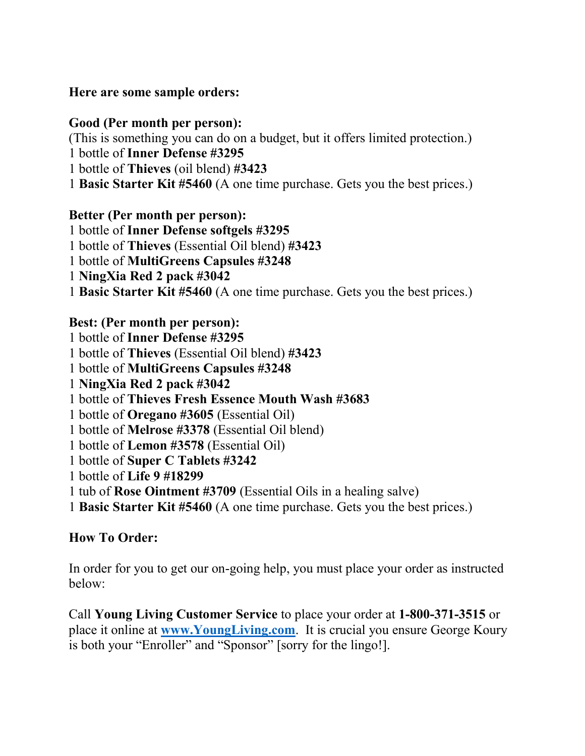**Here are some sample orders:**

### **Good (Per month per person):**

(This is something you can do on a budget, but it offers limited protection.) 1 bottle of **Inner Defense #3295** 

1 bottle of **Thieves** (oil blend) **#3423** 

1 **Basic Starter Kit #5460** (A one time purchase. Gets you the best prices.)

# **Better (Per month per person):**

1 bottle of **Inner Defense softgels #3295**  1 bottle of **Thieves** (Essential Oil blend) **#3423**  1 bottle of **MultiGreens Capsules #3248** 1 **NingXia Red 2 pack #3042**  1 **Basic Starter Kit #5460** (A one time purchase. Gets you the best prices.)

### **Best: (Per month per person):**

1 bottle of **Inner Defense #3295**  1 bottle of **Thieves** (Essential Oil blend) **#3423**  1 bottle of **MultiGreens Capsules #3248** 1 **NingXia Red 2 pack #3042**  1 bottle of **Thieves Fresh Essence Mouth Wash #3683** 1 bottle of **Oregano #3605** (Essential Oil) 1 bottle of **Melrose #3378** (Essential Oil blend) 1 bottle of **Lemon #3578** (Essential Oil) 1 bottle of **Super C Tablets #3242** 1 bottle of **Life 9 #18299** 1 tub of **Rose Ointment #3709** (Essential Oils in a healing salve) 1 **Basic Starter Kit #5460** (A one time purchase. Gets you the best prices.)

# **How To Order:**

In order for you to get our on-going help, you must place your order as instructed below:

Call **Young Living Customer Service** to place your order at **1-800-371-3515** or place it online at **www.YoungLiving.com**. It is crucial you ensure George Koury is both your "Enroller" and "Sponsor" [sorry for the lingo!].